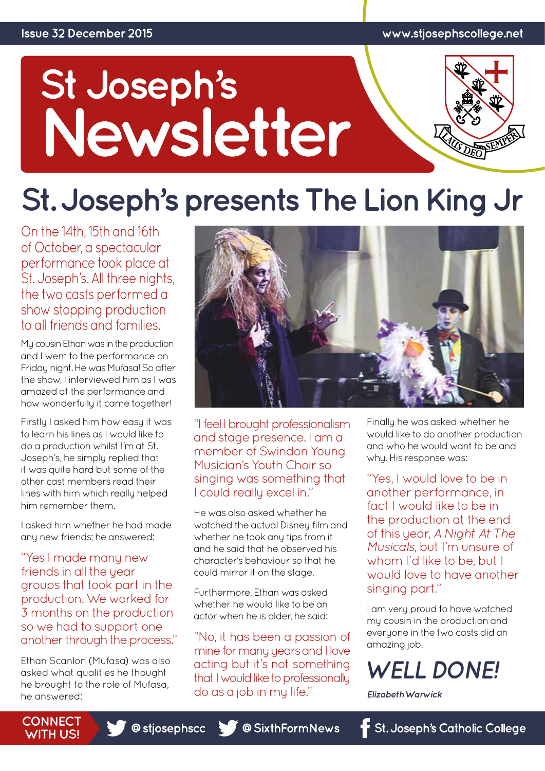# St Joseph's<br>Newsletter



# **St. Joseph's presents The Lion King Jr**

On the 14th, 15th and 16th of October, a spectacular performance took place at St. Joseph's. All three nights, the two casts performed a show stopping production to all friends and families.

My cousin Ethan was in the production and I went to the performance on Friday night. He was Mufasa! So after the show, I interviewed him as I was amazed at the performance and how wonderfully it came together!

Firstly I asked him how easy it was to learn his lines as I would like to do a production whilst I'm at St. Joseph's, he simply replied that it was quite hard but some of the other cast members read their lines with him which really helped him remember them.

I asked him whether he had made any new friends; he answered:

"Yes I made many new friends in all the year groups that took part in the production. We worked for 3 months on the production so we had to support one another through the process."

Ethan Scanlon (Mufasa) was also asked what qualities he thought he brought to the role of Mufasa, he answered:



"I feel I brought professionalism and stage presence. I am a member of Swindon Young Musician's Youth Choir so singing was something that I could really excel in."

He was also asked whether he watched the actual Disney film and whether he took any tips from it and he said that he observed his character's behaviour so that he could mirror it on the stage.

Furthermore, Ethan was asked whether he would like to be an actor when he is older, he said:

"No, it has been a passion of mine for many years and I love acting but it's not something that I would like to professionally do as a job in my life."

Finally he was asked whether he would like to do another production and who he would want to be and why. His response was:

"Yes, I would love to be in another performance, in fact I would like to be in the production at the end of this year, *A Night At The Musicals*, but I'm unsure of whom I'd like to be, but I would love to have another singing part."

I am very proud to have watched my cousin in the production and everyone in the two casts did an amazing job.

### *WELL DONE!*

*Elizabeth Warwick*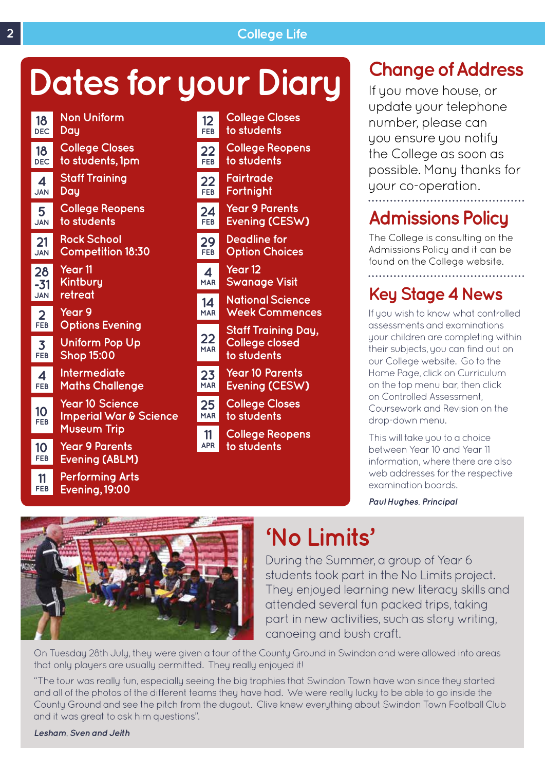# **Dates for your Diary**



| 12                         | <b>College Closes</b>                                              |
|----------------------------|--------------------------------------------------------------------|
| <b>FEB</b>                 | to students                                                        |
| 22                         | <b>College Reopens</b>                                             |
| FEB                        | to students                                                        |
| 22                         | Fairtrade                                                          |
| FEB                        | Fortnight                                                          |
| 24                         | <b>Year 9 Parents</b>                                              |
| FEB                        | Evening (CESW)                                                     |
| 29                         | <b>Deadline for</b>                                                |
| <b>FEB</b>                 | <b>Option Choices</b>                                              |
| $\boldsymbol{\mathcal{A}}$ | Year 12                                                            |
| <b>MAR</b>                 | <b>Swanage Visit</b>                                               |
| 14                         | <b>National Science</b>                                            |
| <b>MAR</b>                 | <b>Week Commences</b>                                              |
| 22<br><b>MAR</b>           | <b>Staff Training Day,</b><br><b>College closed</b><br>to students |
| 23                         | <b>Year 10 Parents</b>                                             |
| <b>MAR</b>                 | Evening (CESW)                                                     |
| 25                         | <b>College Closes</b>                                              |
| <b>MAR</b>                 | to students                                                        |
|                            | <b>College Reopens</b>                                             |
| -11<br><b>APR</b>          | to students                                                        |

### **Change of Address**

If you move house, or update your telephone number, please can you ensure you notify the College as soon as possible. Many thanks for your co-operation.

### **Admissions Policy**

The College is consulting on the Admissions Policy and it can be found on the College website.

### **Key Stage 4 News**

If you wish to know what controlled assessments and examinations your children are completing within their subjects, you can find out on our College website. Go to the Home Page, click on Curriculum on the top menu bar, then click on Controlled Assessment, Coursework and Revision on the drop-down menu.

This will take you to a choice between Year 10 and Year 11 information, where there are also web addresses for the respective examination boards.

*Paul Hughes, Principal* 



### **'No Limits'**

During the Summer, a group of Year 6 students took part in the No Limits project. They enjoyed learning new literacy skills and attended several fun packed trips, taking part in new activities, such as story writing, canoeing and bush craft.

On Tuesday 28th July, they were given a tour of the County Ground in Swindon and were allowed into areas that only players are usually permitted. They really enjoyed it!

"The tour was really fun, especially seeing the big trophies that Swindon Town have won since they started and all of the photos of the different teams they have had. We were really lucky to be able to go inside the County Ground and see the pitch from the dugout. Clive knew everything about Swindon Town Football Club and it was great to ask him questions".

*Lesham, Sven and Jeith*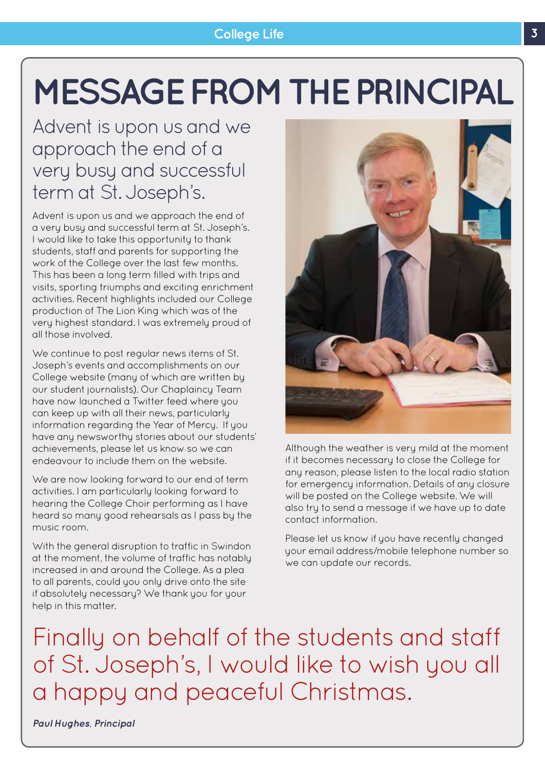# **MESSAGE FROM THE PRINCIPAL**

### Advent is upon us and we approach the end of a very busy and successful term at St. Joseph's.

Advent is upon us and we approach the end of a very busy and successful term at St. Joseph's. I would like to take this opportunity to thank students, staff and parents for supporting the work of the College over the last few months. This has been a long term filled with trips and visits, sporting triumphs and exciting enrichment activities. Recent highlights included our College production of The Lion King which was of the very highest standard. I was extremely proud of all those involved.

We continue to post regular news items of St. Joseph's events and accomplishments on our College website (many of which are written by our student journalists). Our Chaplaincy Team have now launched a Twitter feed where you can keep up with all their news, particularly information regarding the Year of Mercy. If you have any newsworthy stories about our students' achievements, please let us know so we can endeavour to include them on the website.

We are now looking forward to our end of term activities. I am particularly looking forward to hearing the College Choir performing as I have heard so many good rehearsals as I pass by the music room.

With the general disruption to traffic in Swindon at the moment, the volume of traffic has notably increased in and around the College. As a plea to all parents, could you only drive onto the site if absolutely necessary? We thank you for your help in this matter.



Although the weather is very mild at the moment if it becomes necessary to close the College for any reason, please listen to the local radio station for emergency information. Details of any closure will be posted on the College website. We will also try to send a message if we have up to date contact information.

Please let us know if you have recently changed your email address/mobile telephone number so we can update our records.

Finally on behalf of the students and staff of St. Joseph's, I would like to wish you all a happy and peaceful Christmas.

*Paul Hughes, Principal*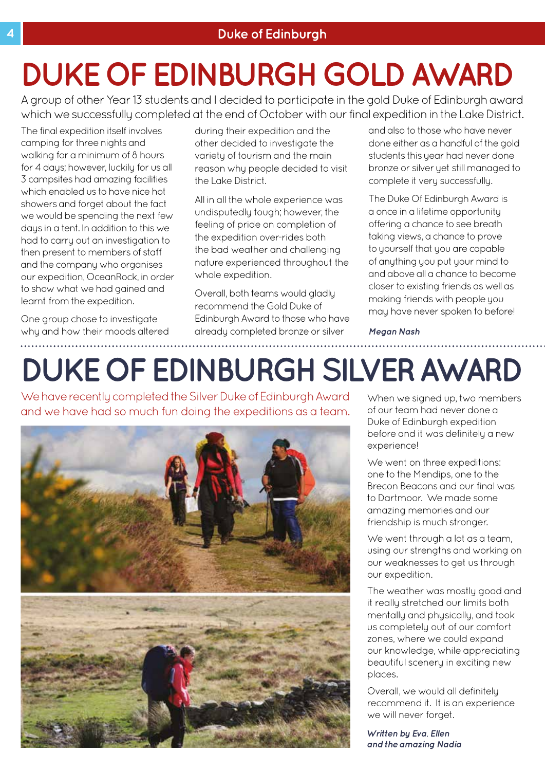# **DUKE OF EDINBURGH GOLD AWARD**

A group of other Year 13 students and I decided to participate in the gold Duke of Edinburgh award which we successfully completed at the end of October with our final expedition in the Lake District.

The final expedition itself involves camping for three nights and walking for a minimum of 8 hours for 4 days; however, luckily for us all 3 campsites had amazing facilities which enabled us to have nice hot showers and forget about the fact we would be spending the next few days in a tent. In addition to this we had to carry out an investigation to then present to members of staff and the company who organises our expedition, OceanRock, in order to show what we had gained and learnt from the expedition.

One group chose to investigate why and how their moods altered during their expedition and the other decided to investigate the variety of tourism and the main reason why people decided to visit the Lake District.

All in all the whole experience was undisputedly tough; however, the feeling of pride on completion of the expedition over-rides both the bad weather and challenging nature experienced throughout the whole expedition.

Overall, both teams would gladly recommend the Gold Duke of Edinburgh Award to those who have already completed bronze or silver

and also to those who have never done either as a handful of the gold students this year had never done bronze or silver yet still managed to complete it very successfully.

The Duke Of Edinburgh Award is a once in a lifetime opportunity offering a chance to see breath taking views, a chance to prove to yourself that you are capable of anything you put your mind to and above all a chance to become closer to existing friends as well as making friends with people you may have never spoken to before!

*Megan Nash*

# **DUKE OF EDINBURGH SILVER AWARD**

We have recently completed the Silver Duke of Edinburgh Award and we have had so much fun doing the expeditions as a team.



When we signed up, two members of our team had never done a Duke of Edinburgh expedition before and it was definitely a new experience!

We went on three expeditions: one to the Mendips, one to the Brecon Beacons and our final was to Dartmoor. We made some amazing memories and our friendship is much stronger.

We went through a lot as a team, using our strengths and working on our weaknesses to get us through our expedition.

The weather was mostly good and it really stretched our limits both mentally and physically, and took us completely out of our comfort zones, where we could expand our knowledge, while appreciating beautiful scenery in exciting new places.

Overall, we would all definitely recommend it. It is an experience we will never forget.

*Written by Eva, Ellen and the amazing Nadia*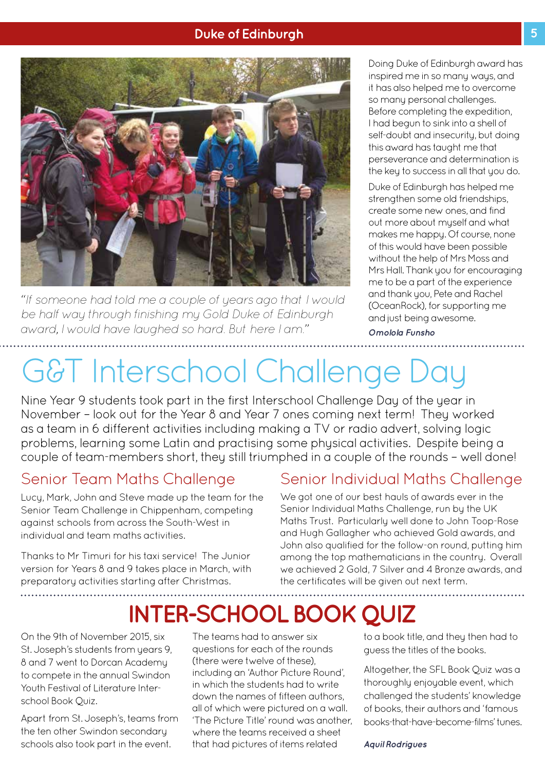#### **Duke of Edinburgh 5 1999 The Second Second 1999 The Second 1999 The Second 1999 The Second 1999 The Second 1999**



*"If someone had told me a couple of years ago that I would be half way through finishing my Gold Duke of Edinburgh award, I would have laughed so hard. But here I am."*

Doing Duke of Edinburgh award has inspired me in so many ways, and it has also helped me to overcome so many personal challenges. Before completing the expedition, I had begun to sink into a shell of self-doubt and insecurity, but doing this award has taught me that perseverance and determination is the key to success in all that you do.

Duke of Edinburgh has helped me strengthen some old friendships, create some new ones, and find out more about myself and what makes me happy. Of course, none of this would have been possible without the help of Mrs Moss and Mrs Hall. Thank you for encouraging me to be a part of the experience and thank you, Pete and Rachel (OceanRock), for supporting me and just being awesome.

*Omolola Funsho*

# G&T Interschool Challenge Day

Nine Year 9 students took part in the first Interschool Challenge Day of the year in November – look out for the Year 8 and Year 7 ones coming next term! They worked as a team in 6 different activities including making a TV or radio advert, solving logic problems, learning some Latin and practising some physical activities. Despite being a couple of team-members short, they still triumphed in a couple of the rounds – well done!

### Senior Team Maths Challenge

Lucy, Mark, John and Steve made up the team for the Senior Team Challenge in Chippenham, competing against schools from across the South-West in individual and team maths activities.

Thanks to Mr Timuri for his taxi service! The Junior version for Years 8 and 9 takes place in March, with preparatory activities starting after Christmas.

### Senior Individual Maths Challenge

We got one of our best hauls of awards ever in the Senior Individual Maths Challenge, run by the UK Maths Trust. Particularly well done to John Toop-Rose and Hugh Gallagher who achieved Gold awards, and John also qualified for the follow-on round, putting him among the top mathematicians in the country. Overall we achieved 2 Gold, 7 Silver and 4 Bronze awards, and the certificates will be given out next term.

### **INTER-SCHOOL BOOK QUIZ**

On the 9th of November 2015, six St. Joseph's students from years 9. 8 and 7 went to Dorcan Academy to compete in the annual Swindon Youth Festival of Literature Interschool Book Quiz.

Apart from St. Joseph's, teams from the ten other Swindon secondary schools also took part in the event.

The teams had to answer six questions for each of the rounds (there were twelve of these), including an 'Author Picture Round', in which the students had to write down the names of fifteen authors, all of which were pictured on a wall. 'The Picture Title' round was another, where the teams received a sheet that had pictures of items related

to a book title, and they then had to guess the titles of the books.

Altogether, the SFL Book Quiz was a thoroughly enjoyable event, which challenged the students' knowledge of books, their authors and 'famous books-that-have-become-films' tunes.

*Aquil Rodrigues*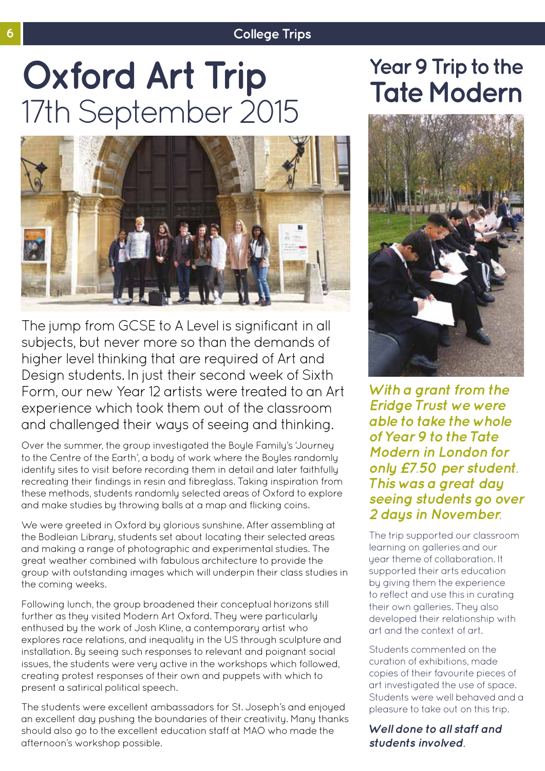#### **6 College Trips**

# **Oxford Art Trip Trip** Year 9 Trip to the<br>
17th September 2015



The jump from GCSE to A Level is significant in all subjects, but never more so than the demands of higher level thinking that are required of Art and Design students. In just their second week of Sixth Form, our new Year 12 artists were treated to an Art experience which took them out of the classroom and challenged their ways of seeing and thinking.

Over the summer, the group investigated the Boyle Family's 'Journey to the Centre of the Earth', a body of work where the Boyles randomly identify sites to visit before recording them in detail and later faithfully recreating their findings in resin and fibreglass. Taking inspiration from these methods, students randomly selected areas of Oxford to explore and make studies by throwing balls at a map and flicking coins.

We were greeted in Oxford by glorious sunshine. After assembling at the Bodleian Library, students set about locating their selected areas and making a range of photographic and experimental studies. The great weather combined with fabulous architecture to provide the group with outstanding images which will underpin their class studies in the coming weeks.

Following lunch, the group broadened their conceptual horizons still further as they visited Modern Art Oxford. They were particularly enthused by the work of Josh Kline, a contemporary artist who explores race relations, and inequality in the US through sculpture and installation. By seeing such responses to relevant and poignant social issues, the students were very active in the workshops which followed, creating protest responses of their own and puppets with which to present a satirical political speech.

The students were excellent ambassadors for St. Joseph's and enjoyed an excellent day pushing the boundaries of their creativity. Many thanks should also go to the excellent education staff at MAO who made the afternoon's workshop possible.



*With a grant from the Eridge Trust we were able to take the whole of Year 9 to the Tate Modern in London for only £7.50 per student. This was a great day seeing students go over 2 days in November.* 

The trip supported our classroom learning on galleries and our year theme of collaboration. It supported their arts education by giving them the experience to reflect and use this in curating their own galleries. They also developed their relationship with art and the context of art.

Students commented on the curation of exhibitions, made copies of their favourite pieces of art investigated the use of space. Students were well behaved and a pleasure to take out on this trip.

*Well done to all staff and students involved.*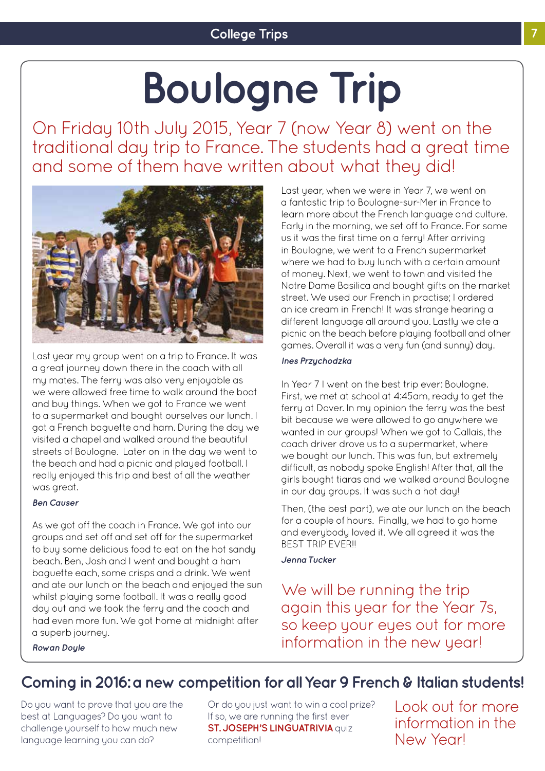# **Boulogne Trip**

On Friday 10th July 2015, Year 7 (now Year 8) went on the traditional day trip to France. The students had a great time and some of them have written about what they did!



Last year my group went on a trip to France. It was a great journey down there in the coach with all my mates. The ferry was also very enjoyable as we were allowed free time to walk around the boat and buy things. When we got to France we went to a supermarket and bought ourselves our lunch. I got a French baguette and ham. During the day we visited a chapel and walked around the beautiful streets of Boulogne. Later on in the day we went to the beach and had a picnic and played football. I really enjoyed this trip and best of all the weather was great.

#### *Ben Causer*

As we got off the coach in France. We got into our groups and set off and set off for the supermarket to buy some delicious food to eat on the hot sandy beach. Ben, Josh and I went and bought a ham baguette each, some crisps and a drink. We went and ate our lunch on the beach and enjoyed the sun whilst playing some football. It was a really good day out and we took the ferry and the coach and had even more fun. We got home at midnight after a superb journey.

Last year, when we were in Year 7, we went on a fantastic trip to Boulogne-sur-Mer in France to learn more about the French language and culture. Early in the morning, we set off to France. For some us it was the first time on a ferry! After arriving in Boulogne, we went to a French supermarket where we had to buy lunch with a certain amount of money. Next, we went to town and visited the Notre Dame Basilica and bought gifts on the market street. We used our French in practise; I ordered an ice cream in French! It was strange hearing a different language all around you. Lastly we ate a picnic on the beach before playing football and other games. Overall it was a very fun (and sunny) day.

#### *Ines Przychodzka*

In Year 7 I went on the best trip ever: Boulogne. First, we met at school at 4:45am, ready to get the ferry at Dover. In my opinion the ferry was the best bit because we were allowed to go anywhere we wanted in our groups! When we got to Callais, the coach driver drove us to a supermarket, where we bought our lunch. This was fun, but extremely difficult, as nobody spoke English! After that, all the girls bought tiaras and we walked around Boulogne in our day groups. It was such a hot day!

Then, (the best part), we ate our lunch on the beach for a couple of hours. Finally, we had to go home and everybody loved it. We all agreed it was the **BEST TRIP EVER!!** 

#### *Jenna Tucker*

We will be running the trip again this year for the Year 7s, so keep your eyes out for more information in the new year!

*Rowan Doyle*

### **Coming in 2016: a new competition for all Year 9 French & Italian students!**

Do you want to prove that you are the best at Languages? Do you want to challenge yourself to how much new language learning you can do?

Or do you just want to win a cool prize? If so, we are running the first ever **ST. JOSEPH'S LINGUATRIVIA** QUIZ competition!

Look out for more information in the New Year!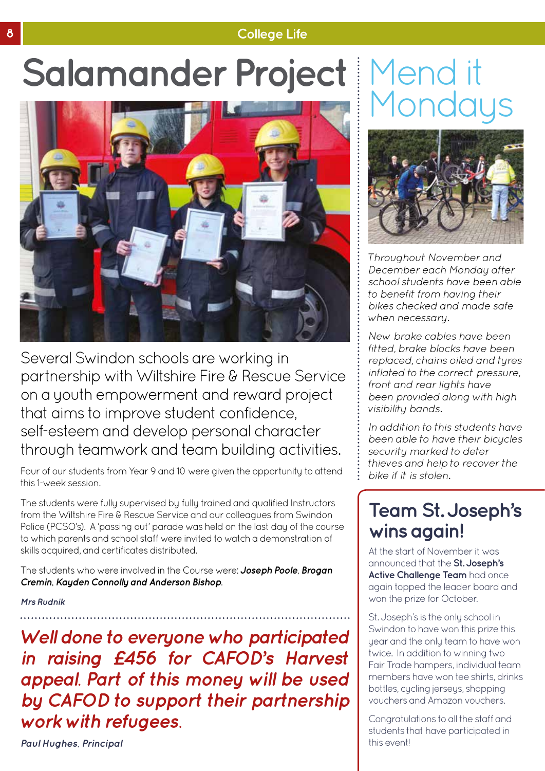### **8 College Life**

# Salamander Project Mend it Mondays



Several Swindon schools are working in partnership with Wiltshire Fire & Rescue Service on a youth empowerment and reward project that aims to improve student confidence, self-esteem and develop personal character through teamwork and team building activities.

Four of our students from Year 9 and 10 were given the opportunity to attend this 1-week session.

The students were fully supervised by fully trained and qualified Instructors from the Wiltshire Fire & Rescue Service and our colleagues from Swindon Police (PCSO's). A 'passing out' parade was held on the last day of the course to which parents and school staff were invited to watch a demonstration of skills acquired, and certificates distributed.

The students who were involved in the Course were: *Joseph Poole, Brogan Cremin, Kayden Connolly and Anderson Bishop.* 

*Mrs Rudnik* 

*Well done to everyone who participated in raising £456 for CAFOD's Harvest appeal. Part of this money will be used by CAFOD to support their partnership work with refugees.* 



*Throughout November and December each Monday after school students have been able to benefit from having their bikes checked and made safe when necessary.* 

*New brake cables have been fitted, brake blocks have been replaced, chains oiled and tyres inflated to the correct pressure, front and rear lights have been provided along with high visibility bands.* 

*In addition to this students have been able to have their bicycles security marked to deter thieves and help to recover the bike if it is stolen.*

### **Team St. Joseph's wins again!**

At the start of November it was announced that the **St. Joseph's Active Challenge Team** had once again topped the leader board and won the prize for October.

St. Joseph's is the only school in Swindon to have won this prize this year and the only team to have won twice. In addition to winning two Fair Trade hampers, individual team members have won tee shirts, drinks bottles, cycling jerseys, shopping vouchers and Amazon vouchers.

Congratulations to all the staff and students that have participated in this event!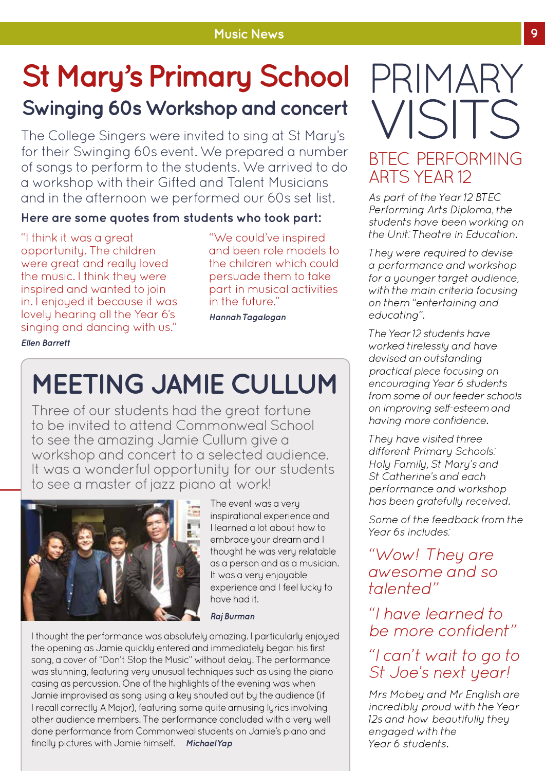### **St Mary's Primary School Swinging 60s Workshop and concert**

The College Singers were invited to sing at St Mary's for their Swinging 60s event. We prepared a number of songs to perform to the students. We arrived to do a workshop with their Gifted and Talent Musicians and in the afternoon we performed our 60s set list.

### **Here are some quotes from students who took part:**

"I think it was a great opportunity. The children were great and really loved the music. I think they were inspired and wanted to join in. I enjoyed it because it was lovely hearing all the Year 6's singing and dancing with us." *Ellen Barrett*

"We could've inspired and been role models to the children which could persuade them to take part in musical activities in the future."

*Hannah Tagalogan*

# **MEETING JAMIE CULLUM**

Three of our students had the great fortune to be invited to attend Commonweal School to see the amazing Jamie Cullum give a workshop and concert to a selected audience. It was a wonderful opportunity for our students to see a master of jazz piano at work!



The event was a very inspirational experience and I learned a lot about how to embrace your dream and I thought he was very relatable as a person and as a musician. It was a very enjoyable experience and I feel lucky to have had it.

#### *Raj Burman*

I thought the performance was absolutely amazing. I particularly enjoyed the opening as Jamie quickly entered and immediately began his first song, a cover of "Don't Stop the Music" without delay. The performance was stunning, featuring very unusual techniques such as using the piano casing as percussion. One of the highlights of the evening was when Jamie improvised as song using a key shouted out by the audience (if I recall correctly A Major), featuring some quite amusing lyrics involving other audience members. The performance concluded with a very well done performance from Commonweal students on Jamie's piano and finally pictures with Jamie himself. *Michael Yap*

# PRIMARY VISITS

### BTEC PERFORMING ARTS YEAR 12

*As part of the Year 12 BTEC Performing Arts Diploma, the students have been working on the Unit: Theatre in Education.*

*They were required to devise a performance and workshop for a younger target audience, with the main criteria focusing on them "entertaining and educating".*

*The Year 12 students have worked tirelessly and have devised an outstanding practical piece focusing on encouraging Year 6 students from some of our feeder schools on improving self-esteem and having more confidence.* 

*They have visited three different Primary Schools: Holy Family, St Mary's and St Catherine's and each performance and workshop has been gratefully received.*

*Some of the feedback from the Year 6s includes:* 

*"Wow! They are awesome and so talented"*

*"I have learned to be more confident"*

### *"I can't wait to go to St Joe's next year!*

*Mrs Mobey and Mr English are incredibly proud with the Year 12s and how beautifully they engaged with the Year 6 students.*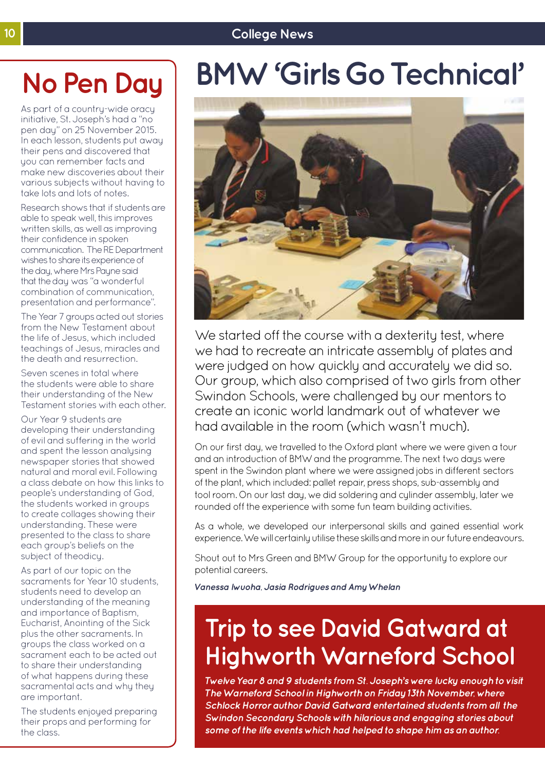### **10 College News**

# **No Pen Day**

As part of a country-wide oracy initiative, St. Joseph's had a "no pen day" on 25 November 2015. In each lesson, students put away their pens and discovered that you can remember facts and make new discoveries about their various subjects without having to take lots and lots of notes.

Research shows that if students are able to speak well, this improves written skills, as well as improving their confidence in spoken communication. The RE Department wishes to share its experience of the day, where Mrs Payne said that the day was "a wonderful combination of communication, presentation and performance".

The Year 7 groups acted out stories from the New Testament about the life of Jesus, which included teachings of Jesus, miracles and the death and resurrection.

Seven scenes in total where the students were able to share their understanding of the New Testament stories with each other.

Our Year 9 students are developing their understanding of evil and suffering in the world and spent the lesson analysing newspaper stories that showed natural and moral evil. Following a class debate on how this links to people's understanding of God, the students worked in groups to create collages showing their understanding. These were presented to the class to share each group's beliefs on the subject of theodicy.

As part of our topic on the sacraments for Year 10 students, students need to develop an understanding of the meaning and importance of Baptism, Eucharist, Anointing of the Sick plus the other sacraments. In groups the class worked on a sacrament each to be acted out to share their understanding of what happens during these sacramental acts and why they are important.

The students enjoyed preparing their props and performing for the class.

# **BMW 'Girls Go Technical'**



We started off the course with a dexterity test, where we had to recreate an intricate assembly of plates and were judged on how quickly and accurately we did so. Our group, which also comprised of two girls from other Swindon Schools, were challenged by our mentors to create an iconic world landmark out of whatever we had available in the room (which wasn't much).

On our first day, we travelled to the Oxford plant where we were given a tour and an introduction of BMW and the programme. The next two days were spent in the Swindon plant where we were assigned jobs in different sectors of the plant, which included: pallet repair, press shops, sub-assembly and tool room. On our last day, we did soldering and cylinder assembly, later we rounded off the experience with some fun team building activities.

As a whole, we developed our interpersonal skills and gained essential work experience. We will certainly utilise these skills and more in our future endeavours.

Shout out to Mrs Green and BMW Group for the opportunity to explore our potential careers.

*Vanessa Iwuoha, Jasia Rodrigues and Amy Whelan*

### **Trip to see David Gatward at Highworth Warneford School**

*Twelve Year 8 and 9 students from St. Joseph's were lucky enough to visit The Warneford School in Highworth on Friday 13th November, where Schlock Horror author David Gatward entertained students from all the Swindon Secondary Schools with hilarious and engaging stories about some of the life events which had helped to shape him as an author.*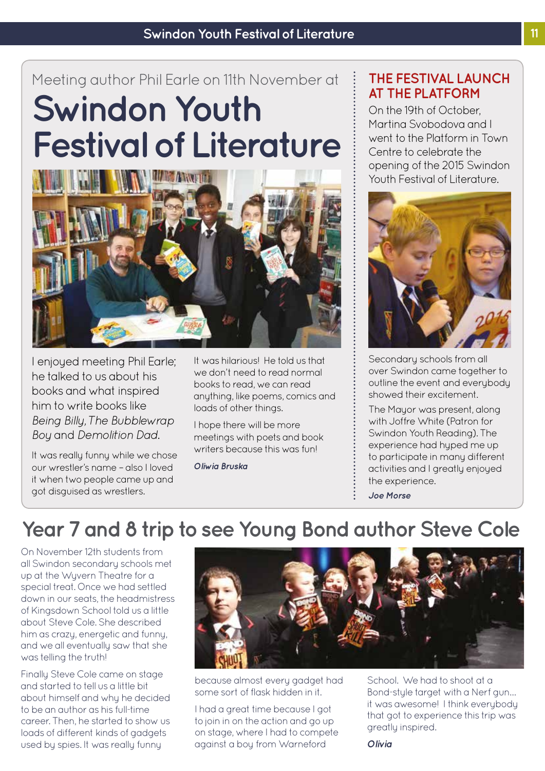### **Swindon Youth Festival of Literature** Meeting author Phil Earle on 11th November at



I enjoyed meeting Phil Earle; he talked to us about his books and what inspired him to write books like *Being Billy, The Bubblewrap Boy* and *Demolition Dad*.

It was really funny while we chose our wrestler's name – also I loved it when two people came up and got disguised as wrestlers.

It was hilarious! He told us that we don't need to read normal books to read, we can read anything, like poems, comics and loads of other things.

I hope there will be more meetings with poets and book writers because this was fun!

*Oliwia Bruska*

### **THE FESTIVAL LAUNCH AT THE PLATFORM**

On the 19th of October Martina Svobodova and I went to the Platform in Town Centre to celebrate the opening of the 2015 Swindon Youth Festival of Literature.



Secondary schools from all over Swindon came together to outline the event and everybody showed their excitement.

The Mayor was present, along with Joffre White (Patron for Swindon Youth Reading). The experience had hyped me up to participate in many different activities and I greatly enjoyed the experience.

*Joe Morse*

### **Year 7 and 8 trip to see Young Bond author Steve Cole**

On November 12th students from all Swindon secondary schools met up at the Wyvern Theatre for a special treat. Once we had settled down in our seats, the headmistress of Kingsdown School told us a little about Steve Cole. She described him as crazy, energetic and funny, and we all eventually saw that she was telling the truth!

Finally Steve Cole came on stage and started to tell us a little bit about himself and why he decided to be an author as his full-time career. Then, he started to show us loads of different kinds of gadgets used by spies. It was really funny



*Olivia* 

because almost every gadget had some sort of flask hidden in it.

I had a great time because I got to join in on the action and go up on stage, where I had to compete against a boy from Warneford

School. We had to shoot at a Bond-style target with a Nerf gun… it was awesome! I think everybody that got to experience this trip was greatly inspired.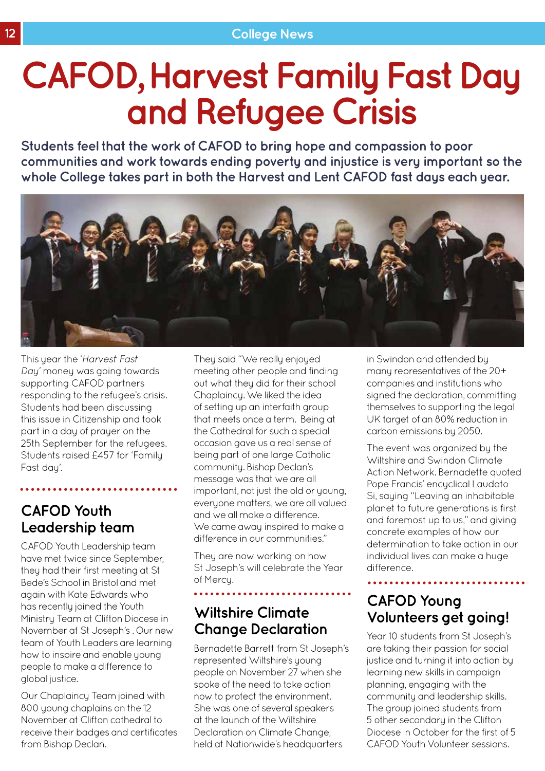# **CAFOD, Harvest Family Fast Day and Refugee Crisis**

**Students feel that the work of CAFOD to bring hope and compassion to poor communities and work towards ending poverty and injustice is very important so the whole College takes part in both the Harvest and Lent CAFOD fast days each year.** 



This year the *'Harvest Fast Day'* money was going towards supporting CAFOD partners responding to the refugee's crisis. Students had been discussing this issue in Citizenship and took part in a day of prayer on the 25th September for the refugees. Students raised £457 for 'Family Fast day'.

### **CAFOD Youth Leadership team**

CAFOD Youth Leadership team have met twice since September, they had their first meeting at St Bede's School in Bristol and met again with Kate Edwards who has recently joined the Youth Ministry Team at Clifton Diocese in November at St Joseph's . Our new team of Youth Leaders are learning how to inspire and enable young people to make a difference to global justice.

Our Chaplaincy Team joined with 800 young chaplains on the 12 November at Clifton cathedral to receive their badges and certificates from Bishop Declan.

They said "We really enjoyed meeting other people and finding out what they did for their school Chaplaincy. We liked the idea of setting up an interfaith group that meets once a term. Being at the Cathedral for such a special occasion gave us a real sense of being part of one large Catholic community. Bishop Declan's message was that we are all important, not just the old or young, everyone matters, we are all valued and we all make a difference. We came away inspired to make a difference in our communities."

They are now working on how St Joseph's will celebrate the Year of Mercy.

### **Wiltshire Climate Change Declaration**

Bernadette Barrett from St Joseph's represented Wiltshire's young people on November 27 when she spoke of the need to take action now to protect the environment. She was one of several speakers at the launch of the Wiltshire Declaration on Climate Change, held at Nationwide's headquarters

in Swindon and attended by many representatives of the 20+ companies and institutions who signed the declaration, committing themselves to supporting the legal UK target of an 80% reduction in carbon emissions by 2050.

The event was organized by the Wiltshire and Swindon Climate Action Network. Bernadette quoted Pope Francis' encyclical Laudato Si, saying "Leaving an inhabitable planet to future generations is first and foremost up to us," and giving concrete examples of how our determination to take action in our individual lives can make a huge difference.

### **CAFOD Young Volunteers get going!**

Year 10 students from St Joseph's are taking their passion for social justice and turning it into action by learning new skills in campaign planning, engaging with the community and leadership skills. The group joined students from 5 other secondary in the Clifton Diocese in October for the first of 5 CAFOD Youth Volunteer sessions.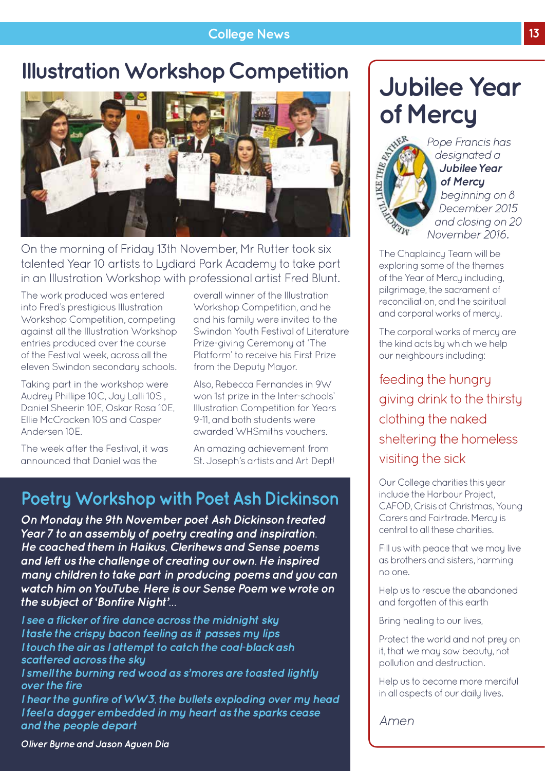#### **College News 13**

### **Illustration Workshop Competition**



On the morning of Friday 13th November, Mr Rutter took six talented Year 10 artists to Lydiard Park Academy to take part in an Illustration Workshop with professional artist Fred Blunt.

The work produced was entered into Fred's prestigious Illustration Workshop Competition, competing against all the Illustration Workshop entries produced over the course of the Festival week, across all the eleven Swindon secondary schools.

Taking part in the workshop were Audrey Phillipe 10C, Jay Lalli 10S , Daniel Sheerin 10E, Oskar Rosa 10E, Ellie McCracken 10S and Casper Andersen 10E.

The week after the Festival, it was announced that Daniel was the

overall winner of the Illustration Workshop Competition, and he and his family were invited to the Swindon Youth Festival of Literature Prize-giving Ceremony at 'The Platform' to receive his First Prize from the Deputy Mayor.

Also, Rebecca Fernandes in 9W won 1st prize in the Inter-schools' Illustration Competition for Years 9-11, and both students were awarded WHSmiths vouchers.

An amazing achievement from St. Joseph's artists and Art Dept!

### **Poetry Workshop with Poet Ash Dickinson**

*On Monday the 9th November poet Ash Dickinson treated Year 7 to an assembly of poetry creating and inspiration. He coached them in Haikus, Clerihews and Sense poems and left us the challenge of creating our own. He inspired many children to take part in producing poems and you can watch him on YouTube. Here is our Sense Poem we wrote on the subject of 'Bonfire Night'…*

*I see a flicker of fire dance across the midnight sky I taste the crispy bacon feeling as it passes my lips I touch the air as I attempt to catch the coal-black ash scattered across the sky*

*I smell the burning red wood as s'mores are toasted lightly over the fire*

*I hear the gunfire of WW3, the bullets exploding over my head I feel a dagger embedded in my heart as the sparks cease and the people depart*

### **Jubilee Year of Mercy**



*designated a Jubilee Year of Mercy beginning on 8 December 2015 and closing on 20 November 2016.* 

The Chaplaincy Team will be exploring some of the themes of the Year of Mercy including, pilgrimage, the sacrament of reconciliation, and the spiritual and corporal works of mercy.

The corporal works of mercy are the kind acts by which we help our neighbours including:

feeding the hungry giving drink to the thirsty clothing the naked sheltering the homeless visiting the sick

Our College charities this year include the Harbour Project, CAFOD, Crisis at Christmas, Young Carers and Fairtrade. Mercy is central to all these charities.

Fill us with peace that we may live as brothers and sisters, harming no one.

Help us to rescue the abandoned and forgotten of this earth

Bring healing to our lives,

Protect the world and not prey on it, that we may sow beauty, not pollution and destruction.

Help us to become more merciful in all aspects of our daily lives.

*Amen*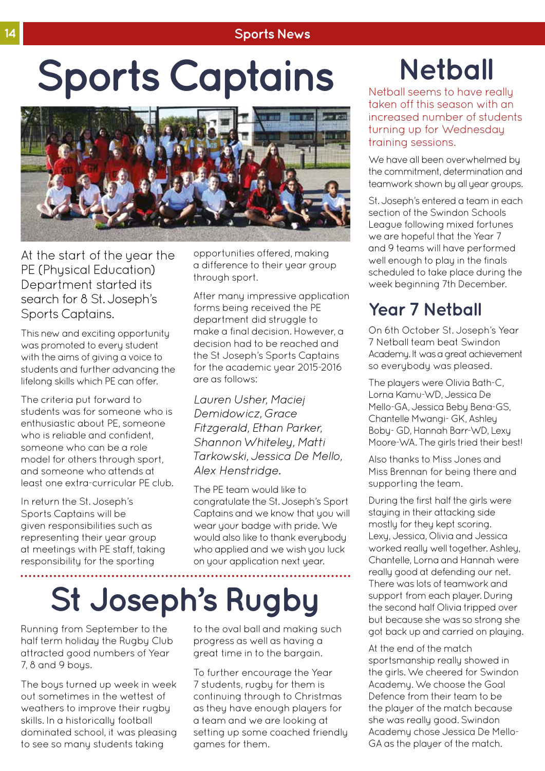#### **14 Sports News**

# **Sports Captains**



At the start of the year the PE (Physical Education) Department started its search for 8 St. Joseph's Sports Captains.

This new and exciting opportunity was promoted to every student with the aims of giving a voice to students and further advancing the lifelong skills which PE can offer.

The criteria put forward to students was for someone who is enthusiastic about PE, someone who is reliable and confident. someone who can be a role model for others through sport, and someone who attends at least one extra-curricular PE club.

In return the St. Joseph's Sports Captains will be given responsibilities such as representing their year group at meetings with PE staff, taking responsibility for the sporting

opportunities offered, making a difference to their year group through sport.

After many impressive application forms being received the PE department did struggle to make a final decision. However, a decision had to be reached and the St Joseph's Sports Captains for the academic year 2015-2016 are as follows:

*Lauren Usher, Maciej Demidowicz, Grace Fitzgerald, Ethan Parker, Shannon Whiteley, Matti Tarkowski, Jessica De Mello, Alex Henstridge.*

The PE team would like to congratulate the St. Joseph's Sport Captains and we know that you will wear your badge with pride. We would also like to thank everybody who applied and we wish you luck on your application next year.

# **St Joseph's Rugby**

Running from September to the half term holiday the Rugby Club attracted good numbers of Year 7, 8 and 9 boys.

The boys turned up week in week out sometimes in the wettest of weathers to improve their rugby skills. In a historically football dominated school, it was pleasing to see so many students taking

to the oval ball and making such progress as well as having a great time in to the bargain.

To further encourage the Year 7 students, rugby for them is continuing through to Christmas as they have enough players for a team and we are looking at setting up some coached friendly games for them.

## **Netball**

Netball seems to have really taken off this season with an increased number of students turning up for Wednesday training sessions.

We have all been overwhelmed by the commitment, determination and teamwork shown by all year groups.

St. Joseph's entered a team in each section of the Swindon Schools League following mixed fortunes we are hopeful that the Year 7 and 9 teams will have performed well enough to play in the finals scheduled to take place during the week beginning 7th December.

### **Year 7 Netball**

On 6th October St. Joseph's Year 7 Netball team beat Swindon Academy. It was a great achievement so everybody was pleased.

The players were Olivia Bath-C, Lorna Kamu-WD, Jessica De Mello-GA, Jessica Beby Bena-GS, Chantelle Mwangi- GK, Ashley Boby- GD, Hannah Barr-WD, Lexy Moore-WA. The girls tried their best!

Also thanks to Miss Jones and Miss Brennan for being there and supporting the team.

During the first half the girls were staying in their attacking side mostly for they kept scoring. Lexy, Jessica, Olivia and Jessica worked really well together. Ashley, Chantelle, Lorna and Hannah were really good at defending our net. There was lots of teamwork and support from each player. During the second half Olivia tripped over but because she was so strong she got back up and carried on playing.

At the end of the match sportsmanship really showed in the girls. We cheered for Swindon Academy. We choose the Goal Defence from their team to be the player of the match because she was really good. Swindon Academy chose Jessica De Mello-GA as the player of the match.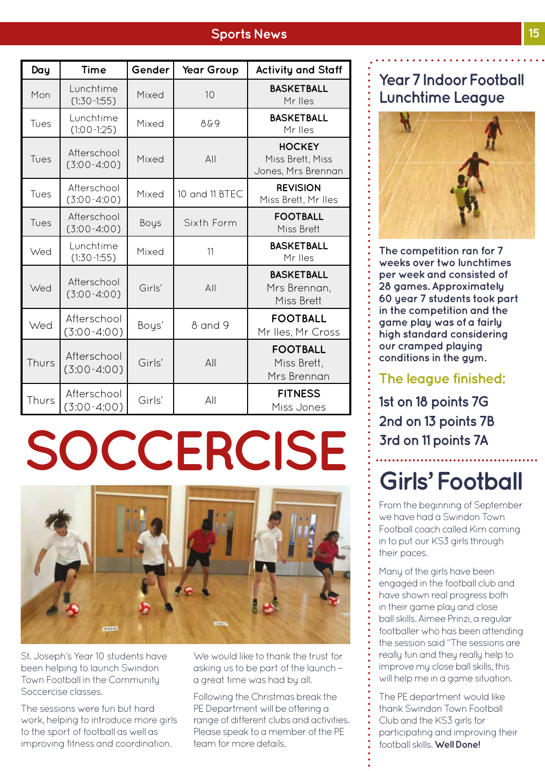### **Sports News 15**

| Day   | <b>Time</b>                  | Gender | Year Group     | <b>Activity and Staff</b>                               |
|-------|------------------------------|--------|----------------|---------------------------------------------------------|
| Mon   | Lunchtime<br>$(1:30-1:55)$   | Mixed  | 10             | <b>BASKETBALL</b><br>Mr Iles                            |
| Tues  | Lunchtime<br>$(1:00-1:25)$   | Mixed  | 889            | <b>BASKETBALL</b><br>Mr Iles                            |
| Tues  | Afterschool<br>$(3:00-4:00)$ | Mixed  | AlI            | <b>HOCKEY</b><br>Miss Brett, Miss<br>Jones, Mrs Brennan |
| Tues  | Afterschool<br>$(3:00-4:00)$ | Mixed  | 10 and 11 BTEC | <b>REVISION</b><br>Miss Brett, Mr Iles                  |
| Tues  | Afterschool<br>$(3:00-4:00)$ | Boys   | Sixth Form     | <b>FOOTBALL</b><br>Miss Brett                           |
| Wed   | Lunchtime<br>$(1:30-1:55)$   | Mixed  | 11             | <b>BASKETBALL</b><br>Mr lles                            |
| Wed   | Afterschool<br>$(3:00-4:00)$ | Girls' | AlI            | <b>BASKETBALL</b><br>Mrs Brennan,<br>Miss Brett         |
| Wed   | Afterschool<br>$(3:00-4:00)$ | Boys'  | 8 and 9        | <b>FOOTBALL</b><br>Mr Iles, Mr Cross                    |
| Thurs | Afterschool<br>$(3:00-4:00)$ | Girls' | All            | <b>FOOTBALL</b><br>Miss Brett,<br>Mrs Brennan           |
| Thurs | Afterschool<br>$(3:00-4:00)$ | Girls' | All            | <b>FITNESS</b><br>Miss Jones                            |

# **SOCCERCISE**



St. Joseph's Year 10 students have been helping to launch Swindon Town Football in the Community Soccercise classes.

The sessions were fun but hard work, helping to introduce more girls to the sport of football as well as improving fitness and coordination.

We would like to thank the trust for asking us to be part of the launch – a great time was had by all.

Following the Christmas break the PE Department will be offering a range of different clubs and activities. Please speak to a member of the PE team for more details.

### **Year 7 Indoor Football Lunchtime League**



**The competition ran for 7 weeks over two lunchtimes per week and consisted of 28 games. Approximately 60 year 7 students took part in the competition and the game play was of a fairly high standard considering our cramped playing conditions in the gym.** 

### **The league finished:**

**1st on 18 points 7G 2nd on 13 points 7B 3rd on 11 points 7A**

## **Girls' Football**

From the beginning of September we have had a Swindon Town Football coach called Kim coming in to put our KS3 girls through their paces.

Many of the girls have been engaged in the football club and have shown real progress both in their game play and close ball skills. Aimee Prinzi, a regular footballer who has been attending the session said "The sessions are really fun and they really help to improve my close ball skills, this will help me in a game situation.

The PE department would like thank Swindon Town Football Club and the KS3 girls for participating and improving their football skills. **Well Done!**